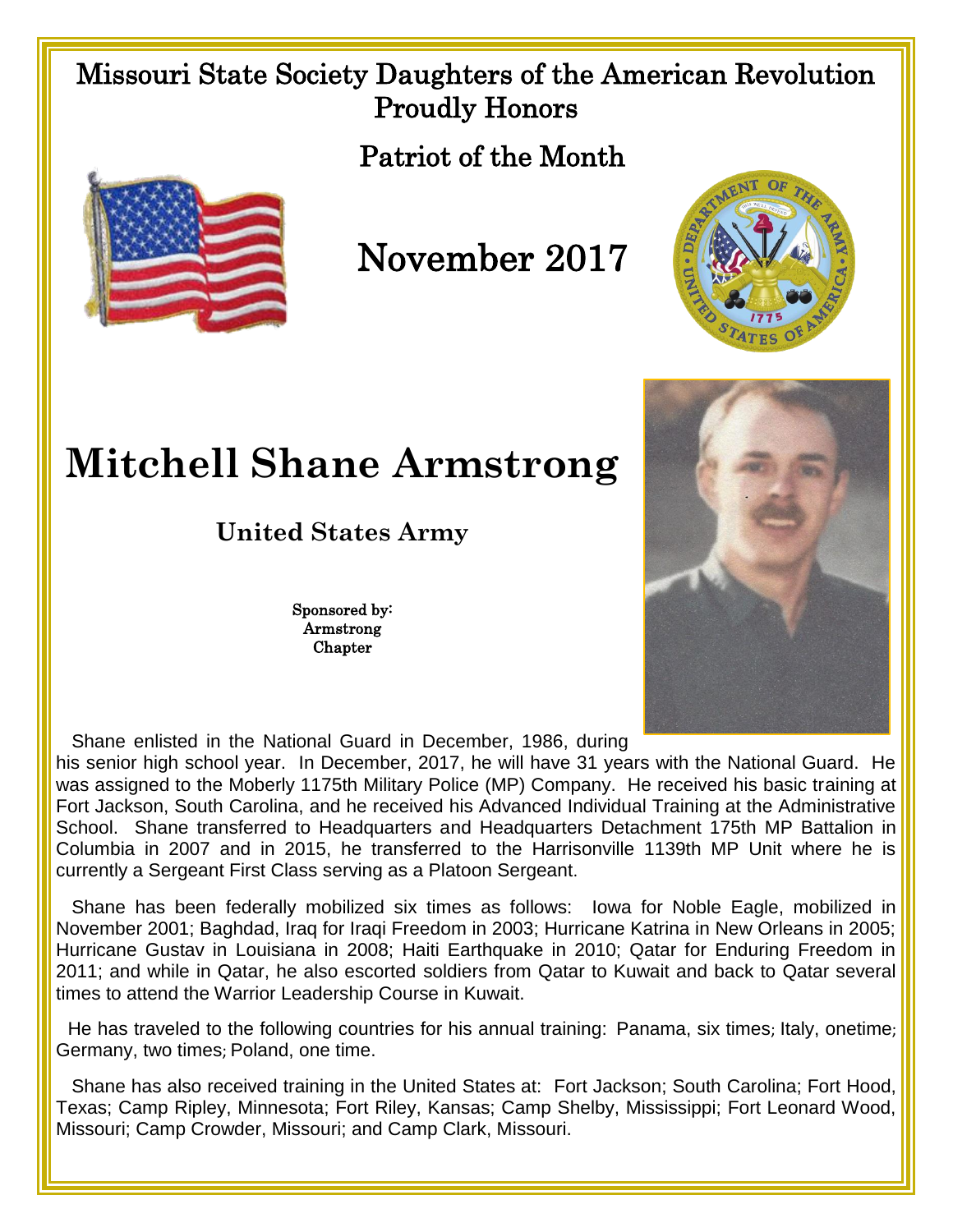## Missouri State Society Daughters of the American Revolution Proudly Honors

Patriot of the Month



November 2017



## **Mitchell Shane Armstrong**

**United States Army**

Sponsored by: Armstrong **Chapter** 



Shane enlisted in the National Guard in December, 1986, during

his senior high school year. In December, 2017, he will have 31 years with the National Guard. He was assigned to the Moberly 1175th Military Police (MP) Company. He received his basic training at Fort Jackson, South Carolina, and he received his Advanced Individual Training at the Administrative School. Shane transferred to Headquarters and Headquarters Detachment 175th MP Battalion in Columbia in 2007 and in 2015, he transferred to the Harrisonville 1139th MP Unit where he is currently a Sergeant First Class serving as a Platoon Sergeant.

 Shane has been federally mobilized six times as follows: Iowa for Noble Eagle, mobilized in November 2001; Baghdad, Iraq for Iraqi Freedom in 2003; Hurricane Katrina in New Orleans in 2005; Hurricane Gustav in Louisiana in 2008; Haiti Earthquake in 2010; Qatar for Enduring Freedom in 2011; and while in Qatar, he also escorted soldiers from Qatar to Kuwait and back to Qatar several times to attend the Warrior Leadership Course in Kuwait.

 He has traveled to the following countries for his annual training: Panama, six times; Italy, onetime; Germany, two times; Poland, one time.

 Shane has also received training in the United States at: Fort Jackson; South Carolina; Fort Hood, Texas; Camp Ripley, Minnesota; Fort Riley, Kansas; Camp Shelby, Mississippi; Fort Leonard Wood, Missouri; Camp Crowder, Missouri; and Camp Clark, Missouri.